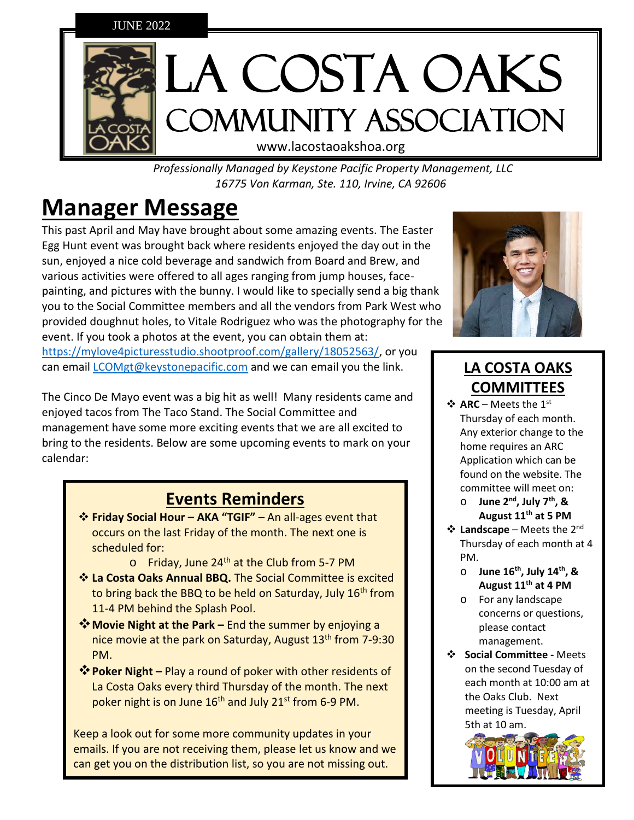

*Professionally Managed by Keystone Pacific Property Management, LLC 16775 Von Karman, Ste. 110, Irvine, CA 92606*

# **Manager Message**

This past April and May have brought about some amazing events. The Easter Egg Hunt event was brought back where residents enjoyed the day out in the sun, enjoyed a nice cold beverage and sandwich from Board and Brew, and various activities were offered to all ages ranging from jump houses, facepainting, and pictures with the bunny. I would like to specially send a big thank you to the Social Committee members and all the vendors from Park West who provided doughnut holes, to Vitale Rodriguez who was the photography for the event. If you took a photos at the event, you can obtain them at: [https://mylove4picturesstudio.shootproof.com/gallery/18052563/,](https://mylove4picturesstudio.shootproof.com/gallery/18052563/) or you can email *[LCOMgt@keystonepacific.com](mailto:LCOMgt@keystonepacific.com)* and we can email you the link.

The Cinco De Mayo event was a big hit as well! Many residents came and enjoyed tacos from The Taco Stand. The Social Committee and management have some more exciting events that we are all excited to bring to the residents. Below are some upcoming events to mark on your calendar:

### **Events Reminders**

- ❖ **Friday Social Hour – AKA "TGIF"** An all-ages event that occurs on the last Friday of the month. The next one is scheduled for:
	- $\circ$  Friday, June 24<sup>th</sup> at the Club from 5-7 PM
- ❖ **La Costa Oaks Annual BBQ.** The Social Committee is excited to bring back the BBQ to be held on Saturday, July 16<sup>th</sup> from 11-4 PM behind the Splash Pool.
- ❖**Movie Night at the Park –** End the summer by enjoying a nice movie at the park on Saturday, August 13<sup>th</sup> from 7-9:30 PM.
- ❖**Poker Night –** Play a round of poker with other residents of La Costa Oaks every third Thursday of the month. The next poker night is on June 16<sup>th</sup> and July 21<sup>st</sup> from 6-9 PM.

Keep a look out for some more community updates in your emails. If you are not receiving them, please let us know and we can get you on the distribution list, so you are not missing out.



# **LA COSTA OAKS COMMITTEES**

- ❖ **ARC** Meets the 1st Thursday of each month. Any exterior change to the home requires an ARC Application which can be found on the website. The committee will meet on:
	- o **June 2nd, July 7th, & August 11th at 5 PM**
- ❖ **Landscape** Meets the 2nd Thursday of each month at 4 PM.
	- o **June 16th, July 14th, & August 11th at 4 PM**
	- o For any landscape concerns or questions, please contact management.
- ❖ **Social Committee -** Meets on the second Tuesday of each month at 10:00 am at the Oaks Club. Next meeting is Tuesday, April 5th at 10 am.

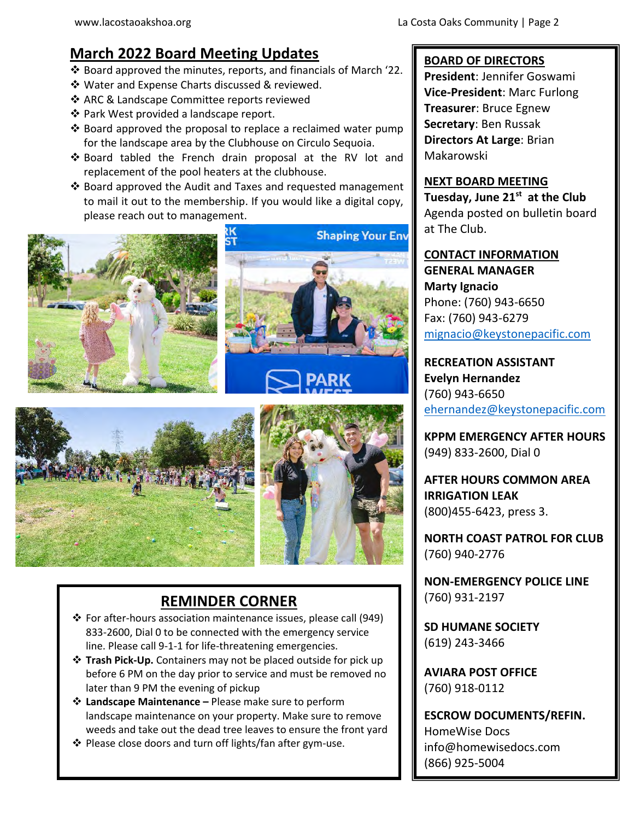### **March 2022 Board Meeting Updates**

- ❖ Board approved the minutes, reports, and financials of March '22.
- ❖ Water and Expense Charts discussed & reviewed.
- ❖ ARC & Landscape Committee reports reviewed
- ❖ Park West provided a landscape report.
- ❖ Board approved the proposal to replace a reclaimed water pump for the landscape area by the Clubhouse on Circulo Sequoia.
- ❖ Board tabled the French drain proposal at the RV lot and replacement of the pool heaters at the clubhouse.
- ❖ Board approved the Audit and Taxes and requested management to mail it out to the membership. If you would like a digital copy, please reach out to management.









### **REMINDER CORNER**

- ❖ For after-hours association maintenance issues, please call (949) 833-2600, Dial 0 to be connected with the emergency service line. Please call 9-1-1 for life-threatening emergencies.
- ❖ **Trash Pick-Up.** Containers may not be placed outside for pick up before 6 PM on the day prior to service and must be removed no later than 9 PM the evening of pickup
- ❖ **Landscape Maintenance –** Please make sure to perform landscape maintenance on your property. Make sure to remove weeds and take out the dead tree leaves to ensure the front yard
- ❖ Please close doors and turn off lights/fan after gym-use.

#### **BOARD OF DIRECTORS**

**President**: Jennifer Goswami **Vice-President**: Marc Furlong **Treasurer**: Bruce Egnew **Secretary**: Ben Russak **Directors At Large**: Brian Makarowski

#### **NEXT BOARD MEETING**

**Tuesday, June 21st at the Club** Agenda posted on bulletin board at The Club.

**CONTACT INFORMATION GENERAL MANAGER Marty Ignacio** Phone: (760) 943-6650 Fax: (760) 943-6279 [mignacio@keystonepacific.com](mailto:mignacio@keystonepacific.com)

**RECREATION ASSISTANT Evelyn Hernandez** (760) 943-6650 [ehernandez@keystonepacific.com](mailto:ehernandez@keystonepacific.com)

**KPPM EMERGENCY AFTER HOURS** (949) 833-2600, Dial 0

**AFTER HOURS COMMON AREA IRRIGATION LEAK** (800)455-6423, press 3.

**NORTH COAST PATROL FOR CLUB** (760) 940-2776

**NON-EMERGENCY POLICE LINE** (760) 931-2197

**SD HUMANE SOCIETY** (619) 243-3466

**AVIARA POST OFFICE** (760) 918-0112

**ESCROW DOCUMENTS/REFIN.** HomeWise Docs info@homewisedocs.com (866) 925-5004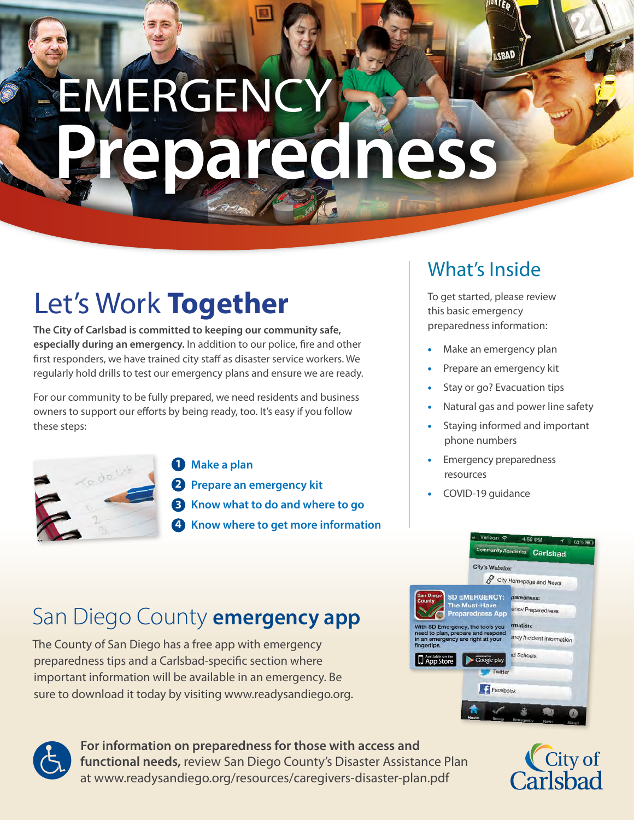# **EMERGENCY Preparedness**

# Let's Work **Together**

**The City of Carlsbad is committed to keeping our community safe, especially during an emergency.** In addition to our police, fire and other first responders, we have trained city staff as disaster service workers. We regularly hold drills to test our emergency plans and ensure we are ready.

For our community to be fully prepared, we need residents and business owners to support our efforts by being ready, too. It's easy if you follow these steps:



**1 Make a plan**

**2 Prepare an emergency kit**

**3 Know what to do and where to go**

**4 Know where to get more information**

# What's Inside

To get started, please review this basic emergency preparedness information:

**ISBAD** 

- Make an emergency plan
- Prepare an emergency kit
- Stay or go? Evacuation tips
- Natural gas and power line safety
- Staying informed and important phone numbers
- Emergency preparedness resources
- COVID-19 guidance

# San Diego County **emergency app**

The County of San Diego has a free app with emergency preparedness tips and a Carlsbad-specific section where important information will be available in an emergency. Be sure to download it today by visiting [www.readysandiego.org.](http://www.readysandiego.org)





**For information on preparedness for those with access and functional needs,** review San Diego County's Disaster Assistance Plan at [www.readysandiego.org/resources/caregivers-disaster-plan.pdf](http://www.readysandiego.org/resources/caregivers-disaster-plan.pdf)

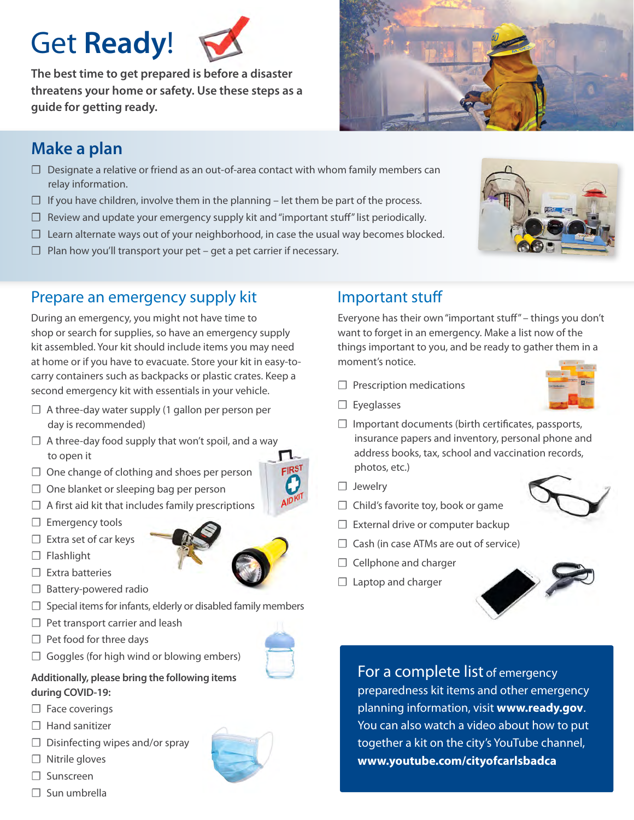# Get **Ready**!



**The best time to get prepared is before a disaster threatens your home or safety. Use these steps as a guide for getting ready.**



# **Make a plan**

- $\Box$  Designate a relative or friend as an out-of-area contact with whom family members can relay information.
- $\Box$  If you have children, involve them in the planning let them be part of the process.
- $\Box$  Review and update your emergency supply kit and "important stuff" list periodically.
- $\Box$  Learn alternate ways out of your neighborhood, in case the usual way becomes blocked.
- $\Box$  Plan how you'll transport your pet get a pet carrier if necessary.

### Prepare an emergency supply kit

During an emergency, you might not have time to shop or search for supplies, so have an emergency supply kit assembled. Your kit should include items you may need at home or if you have to evacuate. Store your kit in easy-tocarry containers such as backpacks or plastic crates. Keep a second emergency kit with essentials in your vehicle.

- $\Box$  A three-day water supply (1 gallon per person per day is recommended)
- $\Box$  A three-day food supply that won't spoil, and a way to open it
- ☐ One change of clothing and shoes per person
- $\Box$  One blanket or sleeping bag per person
- $\Box$  A first aid kit that includes family prescriptions
- □ Emergency tools
- $\Box$  Extra set of car keys
- $\Box$  Flashlight
- ☐ Extra batteries
- □ Battery-powered radio
- $\Box$  Special items for infants, elderly or disabled family members
- $\Box$  Pet transport carrier and leash
- $\Box$  Pet food for three days
- $\Box$  Goggles (for high wind or blowing embers)

#### **Additionally, please bring the following items during COVID-19:**

- □ Face coverings
- □ Hand sanitizer
- $\Box$  Disinfecting wipes and/or spray
- ☐ Nitrile gloves
- ☐ Sunscreen
- □ Sun umbrella



Everyone has their own "important stuff" – things you don't want to forget in an emergency. Make a list now of the things important to you, and be ready to gather them in a moment's notice.

- $\Box$  Prescription medications
- ☐ Eyeglasses
- $\Box$  Important documents (birth certificates, passports, insurance papers and inventory, personal phone and address books, tax, school and vaccination records, photos, etc.)
- □ Jewelry
- □ Child's favorite toy, book or game
- □ External drive or computer backup
- $\Box$  Cash (in case ATMs are out of service)
- □ Cellphone and charger
- $\Box$  Laptop and charger



For a complete list of emergency preparedness kit items and other emergency planning information, visit **<www.ready.gov>**. You can also watch a video about how to put together a kit on the city's YouTube channel, **<www.youtube.com/cityofcarlsbadca>**





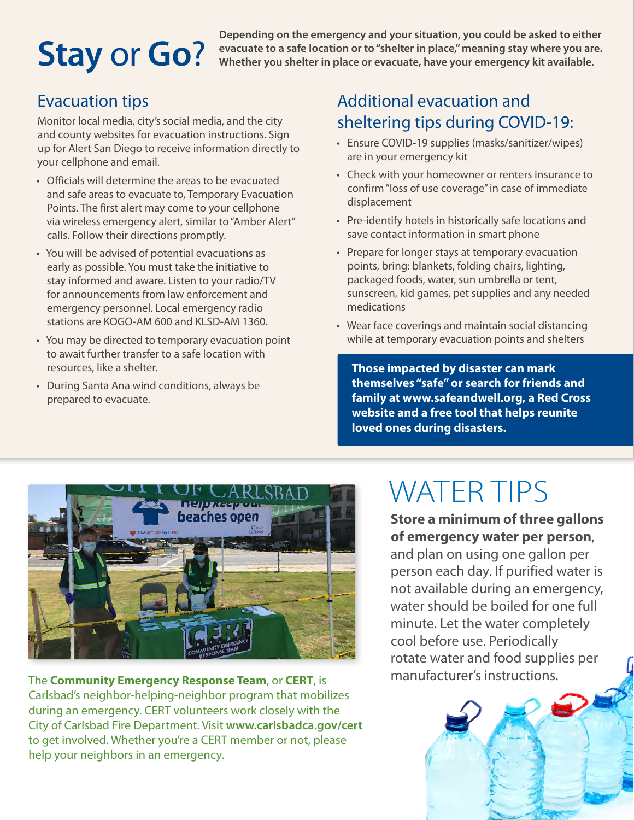# **Stay** or **Go**?

**Depending on the emergency and your situation, you could be asked to either evacuate to a safe location or to "shelter in place," meaning stay where you are. Whether you shelter in place or evacuate, have your emergency kit available.**

# Evacuation tips

Monitor local media, city's social media, and the city and county websites for evacuation instructions. Sign up for Alert San Diego to receive information directly to your cellphone and email.

- Officials will determine the areas to be evacuated and safe areas to evacuate to, Temporary Evacuation Points. The first alert may come to your cellphone via wireless emergency alert, similar to "Amber Alert" calls. Follow their directions promptly.
- You will be advised of potential evacuations as early as possible. You must take the initiative to stay informed and aware. Listen to your radio/TV for announcements from law enforcement and emergency personnel. Local emergency radio stations are KOGO-AM 600 and KLSD-AM 1360.
- You may be directed to temporary evacuation point to await further transfer to a safe location with resources, like a shelter.
- During Santa Ana wind conditions, always be prepared to evacuate.

# Additional evacuation and sheltering tips during COVID-19:

- Ensure COVID-19 supplies (masks/sanitizer/wipes) are in your emergency kit
- Check with your homeowner or renters insurance to confirm "loss of use coverage" in case of immediate displacement
- Pre-identify hotels in historically safe locations and save contact information in smart phone
- Prepare for longer stays at temporary evacuation points, bring: blankets, folding chairs, lighting, packaged foods, water, sun umbrella or tent, sunscreen, kid games, pet supplies and any needed medications
- Wear face coverings and maintain social distancing while at temporary evacuation points and shelters

**Those impacted by disaster can mark themselves "safe" or search for friends and family at [www.safeandwell.org,](http://www.safeandwell.org) a Red Cross website and a free tool that helps reunite loved ones during disasters.**



The **Community Emergency Response Team**, or **CERT**, is Carlsbad's neighbor-helping-neighbor program that mobilizes during an emergency. CERT volunteers work closely with the City of Carlsbad Fire Department. Visit **<www.carlsbadca.gov/cert>** to get involved. Whether you're a CERT member or not, please help your neighbors in an emergency.

# WATER TIPS

**Store a minimum of three gallons of emergency water per person**,

and plan on using one gallon per person each day. If purified water is not available during an emergency, water should be boiled for one full minute. Let the water completely cool before use. Periodically rotate water and food supplies per manufacturer's instructions.